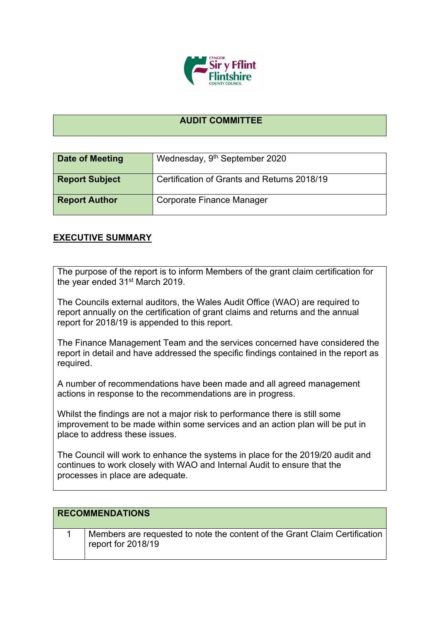

## **AUDIT COMMITTEE**

| <b>Date of Meeting</b> | Wednesday, 9 <sup>th</sup> September 2020   |
|------------------------|---------------------------------------------|
| <b>Report Subject</b>  | Certification of Grants and Returns 2018/19 |
| <b>Report Author</b>   | Corporate Finance Manager                   |

## **EXECUTIVE SUMMARY**

The purpose of the report is to inform Members of the grant claim certification for the year ended 31st March 2019.

The Councils external auditors, the Wales Audit Office (WAO) are required to report annually on the certification of grant claims and returns and the annual report for 2018/19 is appended to this report.

The Finance Management Team and the services concerned have considered the report in detail and have addressed the specific findings contained in the report as required.

A number of recommendations have been made and all agreed management actions in response to the recommendations are in progress.

Whilst the findings are not a major risk to performance there is still some improvement to be made within some services and an action plan will be put in place to address these issues.

The Council will work to enhance the systems in place for the 2019/20 audit and continues to work closely with WAO and Internal Audit to ensure that the processes in place are adequate.

| <b>RECOMMENDATIONS</b> |                                                                                                  |  |
|------------------------|--------------------------------------------------------------------------------------------------|--|
|                        | Members are requested to note the content of the Grant Claim Certification<br>report for 2018/19 |  |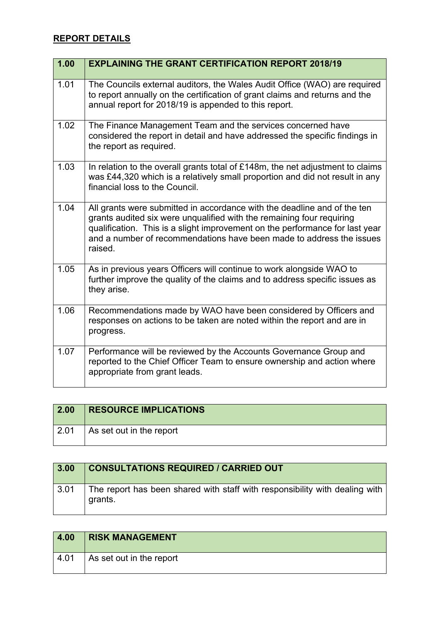## **REPORT DETAILS**

| 1.00 | <b>EXPLAINING THE GRANT CERTIFICATION REPORT 2018/19</b>                                                                                                                                                                                                                                                             |
|------|----------------------------------------------------------------------------------------------------------------------------------------------------------------------------------------------------------------------------------------------------------------------------------------------------------------------|
| 1.01 | The Councils external auditors, the Wales Audit Office (WAO) are required<br>to report annually on the certification of grant claims and returns and the<br>annual report for 2018/19 is appended to this report.                                                                                                    |
| 1.02 | The Finance Management Team and the services concerned have<br>considered the report in detail and have addressed the specific findings in<br>the report as required.                                                                                                                                                |
| 1.03 | In relation to the overall grants total of £148m, the net adjustment to claims<br>was £44,320 which is a relatively small proportion and did not result in any<br>financial loss to the Council.                                                                                                                     |
| 1.04 | All grants were submitted in accordance with the deadline and of the ten<br>grants audited six were unqualified with the remaining four requiring<br>qualification. This is a slight improvement on the performance for last year<br>and a number of recommendations have been made to address the issues<br>raised. |
| 1.05 | As in previous years Officers will continue to work alongside WAO to<br>further improve the quality of the claims and to address specific issues as<br>they arise.                                                                                                                                                   |
| 1.06 | Recommendations made by WAO have been considered by Officers and<br>responses on actions to be taken are noted within the report and are in<br>progress.                                                                                                                                                             |
| 1.07 | Performance will be reviewed by the Accounts Governance Group and<br>reported to the Chief Officer Team to ensure ownership and action where<br>appropriate from grant leads.                                                                                                                                        |

| 2.00 | <b>RESOURCE IMPLICATIONS</b> |
|------|------------------------------|
| 2.01 | As set out in the report     |

| 3.00 | <b>CONSULTATIONS REQUIRED / CARRIED OUT</b>                                            |
|------|----------------------------------------------------------------------------------------|
| 3.01 | The report has been shared with staff with responsibility with dealing with<br>grants. |

| 4.00 | <b>RISK MANAGEMENT</b>   |
|------|--------------------------|
| 4.01 | As set out in the report |